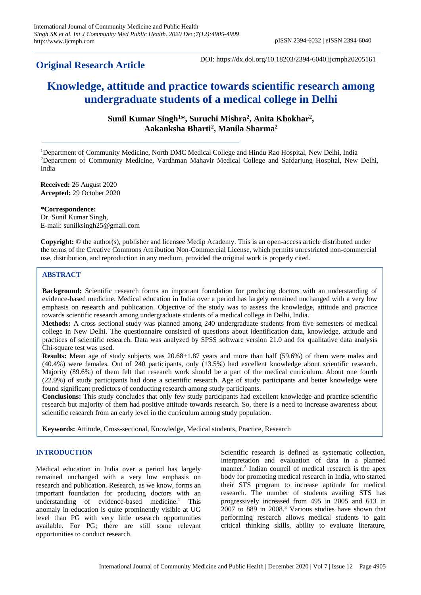# **Original Research Article**

DOI: https://dx.doi.org/10.18203/2394-6040.ijcmph20205161

# **Knowledge, attitude and practice towards scientific research among undergraduate students of a medical college in Delhi**

**Sunil Kumar Singh<sup>1</sup>\*, Suruchi Mishra<sup>2</sup> , Anita Khokhar<sup>2</sup> , Aakanksha Bharti<sup>2</sup> , Manila Sharma<sup>2</sup>**

<sup>1</sup>Department of Community Medicine, North DMC Medical College and Hindu Rao Hospital, New Delhi, India <sup>2</sup>Department of Community Medicine, Vardhman Mahavir Medical College and Safdarjung Hospital, New Delhi, India

**Received:** 26 August 2020 **Accepted:** 29 October 2020

**\*Correspondence:**

Dr. Sunil Kumar Singh, E-mail: sunilksingh25@gmail.com

**Copyright:** © the author(s), publisher and licensee Medip Academy. This is an open-access article distributed under the terms of the Creative Commons Attribution Non-Commercial License, which permits unrestricted non-commercial use, distribution, and reproduction in any medium, provided the original work is properly cited.

# **ABSTRACT**

**Background:** Scientific research forms an important foundation for producing doctors with an understanding of evidence-based medicine. Medical education in India over a period has largely remained unchanged with a very low emphasis on research and publication. Objective of the study was to assess the knowledge, attitude and practice towards scientific research among undergraduate students of a medical college in Delhi, India.

**Methods:** A cross sectional study was planned among 240 undergraduate students from five semesters of medical college in New Delhi. The questionnaire consisted of questions about identification data, knowledge, attitude and practices of scientific research. Data was analyzed by SPSS software version 21.0 and for qualitative data analysis Chi-square test was used.

**Results:** Mean age of study subjects was 20.68±1.87 years and more than half (59.6%) of them were males and (40.4%) were females. Out of 240 participants, only (13.5%) had excellent knowledge about scientific research. Majority (89.6%) of them felt that research work should be a part of the medical curriculum. About one fourth (22.9%) of study participants had done a scientific research. Age of study participants and better knowledge were found significant predictors of conducting research among study participants.

**Conclusions:** This study concludes that only few study participants had excellent knowledge and practice scientific research but majority of them had positive attitude towards research. So, there is a need to increase awareness about scientific research from an early level in the curriculum among study population.

**Keywords:** Attitude, Cross-sectional, Knowledge, Medical students, Practice, Research

# **INTRODUCTION**

Medical education in India over a period has largely remained unchanged with a very low emphasis on research and publication. Research, as we know, forms an important foundation for producing doctors with an understanding of evidence-based medicine. <sup>1</sup> This anomaly in education is quite prominently visible at UG level than PG with very little research opportunities available. For PG; there are still some relevant opportunities to conduct research.

Scientific research is defined as systematic collection, interpretation and evaluation of data in a planned manner.<sup>2</sup> Indian council of medical research is the apex body for promoting medical research in India, who started their STS program to increase aptitude for medical research. The number of students availing STS has progressively increased from 495 in 2005 and 613 in 2007 to 889 in 2008.<sup>3</sup> Various studies have shown that performing research allows medical students to gain critical thinking skills, ability to evaluate literature,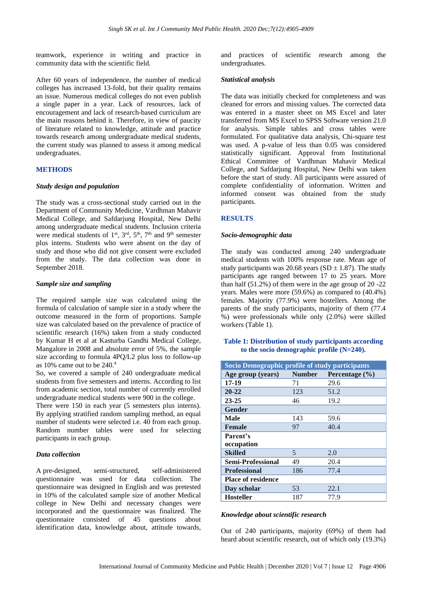teamwork, experience in writing and practice in community data with the scientific field.

After 60 years of independence, the number of medical colleges has increased 13-fold, but their quality remains an issue. Numerous medical colleges do not even publish a single paper in a year. Lack of resources, lack of encouragement and lack of research-based curriculum are the main reasons behind it. Therefore, in view of paucity of literature related to knowledge, attitude and practice towards research among undergraduate medical students, the current study was planned to assess it among medical undergraduates.

# **METHODS**

#### *Study design and population*

The study was a cross-sectional study carried out in the Department of Community Medicine, Vardhman Mahavir Medical College, and Safdarjung Hospital, New Delhi among undergraduate medical students. Inclusion criteria were medical students of 1<sup>st</sup>, 3<sup>rd</sup>, 5<sup>th</sup>, 7<sup>th</sup> and 9<sup>th</sup> semester plus interns. Students who were absent on the day of study and those who did not give consent were excluded from the study. The data collection was done in September 2018.

#### *Sample size and sampling*

The required sample size was calculated using the formula of calculation of sample size in a study where the outcome measured in the form of proportions. Sample size was calculated based on the prevalence of practice of scientific research (16%) taken from a study conducted by Kumar H et al at Kasturba Gandhi Medical College, Mangalore in 2008 and absolute error of 5%, the sample size according to formula 4PQ/L2 plus loss to follow-up as 10% came out to be  $240<sup>4</sup>$ 

So, we covered a sample of 240 undergraduate medical students from five semesters and interns. According to list from academic section, total number of currently enrolled undergraduate medical students were 900 in the college.

There were 150 in each year (5 semesters plus interns). By applying stratified random sampling method, an equal number of students were selected i.e. 40 from each group. Random number tables were used for selecting participants in each group.

#### *Data collection*

A pre-designed, semi-structured, self-administered questionnaire was used for data collection. The questionnaire was designed in English and was pretested in 10% of the calculated sample size of another Medical college in New Delhi and necessary changes were incorporated and the questionnaire was finalized. The questionnaire consisted of 45 questions about identification data, knowledge about, attitude towards,

and practices of scientific research among the undergraduates.

#### *Statistical analysis*

The data was initially checked for completeness and was cleaned for errors and missing values. The corrected data was entered in a master sheet on MS Excel and later transferred from MS Excel to SPSS Software version 21.0 for analysis. Simple tables and cross tables were formulated. For qualitative data analysis, Chi-square test was used. A p-value of less than 0.05 was considered statistically significant. Approval from Institutional Ethical Committee of Vardhman Mahavir Medical College, and Safdarjung Hospital, New Delhi was taken before the start of study. All participants were assured of complete confidentiality of information. Written and informed consent was obtained from the study participants.

# **RESULTS**

#### *Socio-demographic data*

The study was conducted among 240 undergraduate medical students with 100% response rate. Mean age of study participants was 20.68 years  $(SD + 1.87)$ . The study participants age ranged between 17 to 25 years. More than half (51.2%) of them were in the age group of 20 -22 years. Males were more (59.6%) as compared to (40.4%) females. Majority (77.9%) were hostellers. Among the parents of the study participants, majority of them (77.4 %) were professionals while only (2.0%) were skilled workers (Table 1).

#### **Table 1: Distribution of study participants according to the socio demographic profile (N=240).**

| Socio Demographic profile of study participants |               |                    |  |  |  |
|-------------------------------------------------|---------------|--------------------|--|--|--|
| Age group (years)                               | <b>Number</b> | Percentage $(\% )$ |  |  |  |
| $17 - 19$                                       | 71            | 29.6               |  |  |  |
| $20 - 22$                                       | 123           | 51.2               |  |  |  |
| $23 - 25$                                       | 46            | 19.2               |  |  |  |
| <b>Gender</b>                                   |               |                    |  |  |  |
| Male                                            | 143           | 59.6               |  |  |  |
| <b>Female</b>                                   | 97            | 40.4               |  |  |  |
| Parent's                                        |               |                    |  |  |  |
| occupation                                      |               |                    |  |  |  |
| Skilled                                         | 5             | 2.0                |  |  |  |
| <b>Semi-Professional</b>                        | 49            | 20.4               |  |  |  |
| <b>Professional</b>                             | 186           | 77.4               |  |  |  |
| <b>Place of residence</b>                       |               |                    |  |  |  |
| Day scholar                                     | 53            | 22.1               |  |  |  |
| <b>Hosteller</b>                                | 187           | 77.9               |  |  |  |

#### *Knowledge about scientific research*

Out of 240 participants, majority (69%) of them had heard about scientific research, out of which only (19.3%)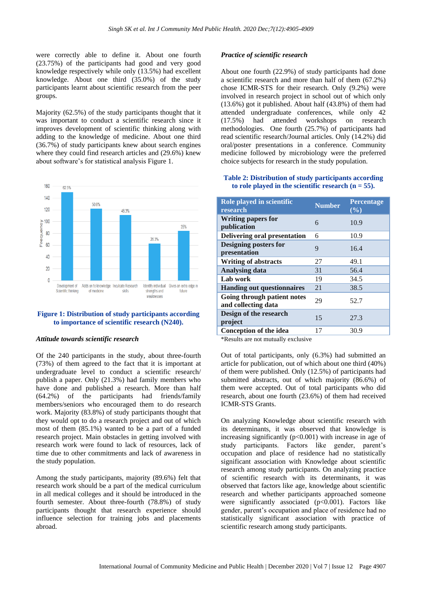were correctly able to define it. About one fourth (23.75%) of the participants had good and very good knowledge respectively while only (13.5%) had excellent knowledge. About one third (35.0%) of the study participants learnt about scientific research from the peer groups.

Majority (62.5%) of the study participants thought that it was important to conduct a scientific research since it improves development of scientific thinking along with adding to the knowledge of medicine. About one third (36.7%) of study participants knew about search engines where they could find research articles and (29.6%) knew about software's for statistical analysis Figure 1.



# **Figure 1: Distribution of study participants according to importance of scientific research (N240).**

#### *Attitude towards scientific research*

Of the 240 participants in the study, about three-fourth (73%) of them agreed to the fact that it is important at undergraduate level to conduct a scientific research/ publish a paper. Only (21.3%) had family members who have done and published a research. More than half (64.2%) of the participants had friends/family members/seniors who encouraged them to do research work. Majority (83.8%) of study participants thought that they would opt to do a research project and out of which most of them (85.1%) wanted to be a part of a funded research project. Main obstacles in getting involved with research work were found to lack of resources, lack of time due to other commitments and lack of awareness in the study population.

Among the study participants, majority (89.6%) felt that research work should be a part of the medical curriculum in all medical colleges and it should be introduced in the fourth semester. About three-fourth (78.8%) of study participants thought that research experience should influence selection for training jobs and placements abroad.

#### *Practice of scientific research*

About one fourth (22.9%) of study participants had done a scientific research and more than half of them (67.2%) chose ICMR-STS for their research. Only (9.2%) were involved in research project in school out of which only (13.6%) got it published. About half (43.8%) of them had attended undergraduate conferences, while only 42 (17.5%) had attended workshops on research methodologies. One fourth (25.7%) of participants had read scientific research/Journal articles. Only (14.2%) did oral/poster presentations in a conference. Community medicine followed by microbiology were the preferred choice subjects for research in the study population.

#### **Table 2: Distribution of study participants according**  to role played in the scientific research  $(n = 55)$ .

| Role played in scientific<br>research              | <b>Number</b> | <b>Percentage</b><br>(%) |
|----------------------------------------------------|---------------|--------------------------|
| <b>Writing papers for</b><br>publication           | 6             | 10.9                     |
| Delivering oral presentation                       | 6             | 10.9                     |
| <b>Designing posters for</b><br>presentation       | 9             | 16.4                     |
| <b>Writing of abstracts</b>                        | 27            | 49.1                     |
| <b>Analysing data</b>                              | 31            | 56.4                     |
| Lab work                                           | 19            | 34.5                     |
| <b>Handing out questionnaires</b>                  | 21            | 38.5                     |
| Going through patient notes<br>and collecting data | 29            | 52.7                     |
| Design of the research<br>project                  | 15            | 27.3                     |
| <b>Conception of the idea</b>                      | 17            | 30.9                     |

\*Results are not mutually exclusive

Out of total participants, only (6.3%) had submitted an article for publication, out of which about one third (40%) of them were published. Only (12.5%) of participants had submitted abstracts, out of which majority (86.6%) of them were accepted. Out of total participants who did research, about one fourth (23.6%) of them had received ICMR-STS Grants.

On analyzing Knowledge about scientific research with its determinants, it was observed that knowledge is increasing significantly  $(p<0.001)$  with increase in age of study participants. Factors like gender, parent's occupation and place of residence had no statistically significant association with Knowledge about scientific research among study participants. On analyzing practice of scientific research with its determinants, it was observed that factors like age, knowledge about scientific research and whether participants approached someone were significantly associated  $(p<0.001)$ . Factors like gender, parent's occupation and place of residence had no statistically significant association with practice of scientific research among study participants.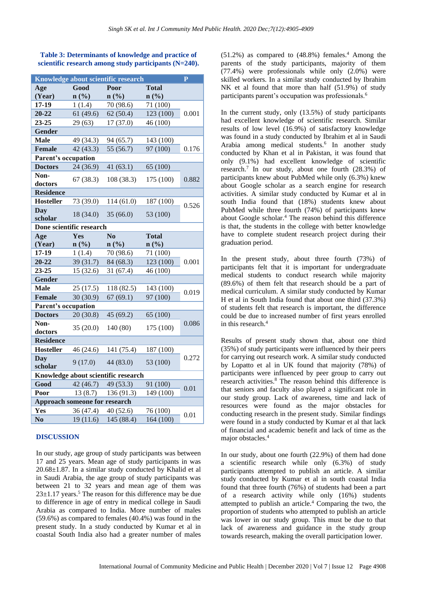**Table 3: Determinants of knowledge and practice of scientific research among study participants (N=240).**

| Knowledge about scientific research  |                             |                |              |       |  |  |  |
|--------------------------------------|-----------------------------|----------------|--------------|-------|--|--|--|
| Age                                  | Good                        | Poor           | <b>Total</b> |       |  |  |  |
| (Year)                               | $n\left(\frac{0}{0}\right)$ | n(%)           | n(%)         |       |  |  |  |
| 17-19                                | 1(1.4)                      | 70 (98.6)      | 71 (100)     |       |  |  |  |
| 20-22                                | 61(49.6)                    | 62(50.4)       | 123 (100)    | 0.001 |  |  |  |
| 23-25                                | 29(63)                      | 17(37.0)       | 46 (100)     |       |  |  |  |
| <b>Gender</b>                        |                             |                |              |       |  |  |  |
| <b>Male</b>                          | 49 (34.3)                   | 94 (65.7)      | 143 (100)    |       |  |  |  |
| Female                               | 42(43.3)                    | 55 (56.7)      | 97 (100)     | 0.176 |  |  |  |
| Parent's occupation                  |                             |                |              |       |  |  |  |
| <b>Doctors</b>                       | 24(36.9)                    | 41(63.1)       | 65 (100)     |       |  |  |  |
| Non-                                 |                             |                |              | 0.882 |  |  |  |
| doctors                              | 67(38.3)                    | 108 (38.3)     | 175 (100)    |       |  |  |  |
| <b>Residence</b>                     |                             |                |              |       |  |  |  |
| <b>Hosteller</b>                     | 73 (39.0)                   | 114(61.0)      | 187 (100)    | 0.526 |  |  |  |
| <b>Day</b>                           | 18 (34.0)                   | 35(66.0)       | 53 (100)     |       |  |  |  |
| scholar                              |                             |                |              |       |  |  |  |
| Done scientific research             |                             |                |              |       |  |  |  |
| Age                                  | <b>Yes</b>                  | N <sub>0</sub> | <b>Total</b> |       |  |  |  |
| (Year)                               | $n\left(\frac{0}{0}\right)$ | n(%)           | n(%)         |       |  |  |  |
| 17-19                                | 1(1.4)                      | 70 (98.6)      | 71 (100)     |       |  |  |  |
| 20-22                                | 39 (31.7)                   | 84 (68.3)      | 123 (100)    | 0.001 |  |  |  |
| 23-25                                | 15(32.6)                    | 31 (67.4)      | 46 (100)     |       |  |  |  |
| <b>Gender</b>                        |                             |                |              |       |  |  |  |
| <b>Male</b>                          | 25(17.5)                    | 118 (82.5)     | 143 (100)    | 0.019 |  |  |  |
| Female                               | 30(30.9)                    | 67(69.1)       | 97 (100)     |       |  |  |  |
| <b>Parent's occupation</b>           |                             |                |              |       |  |  |  |
| <b>Doctors</b>                       | 20(30.8)                    | 45 (69.2)      | 65 (100)     |       |  |  |  |
| Non-                                 | 35(20.0)                    | 140 (80)       | 175 (100)    | 0.086 |  |  |  |
| doctors                              |                             |                |              |       |  |  |  |
| <b>Residence</b>                     |                             |                |              |       |  |  |  |
| <b>Hosteller</b>                     | 46 (24.6)                   | 141 (75.4)     | 187 (100)    |       |  |  |  |
| <b>Day</b>                           | 9(17.0)                     | 44 (83.0)      | 53 (100)     | 0.272 |  |  |  |
| scholar                              |                             |                |              |       |  |  |  |
| Knowledge about scientific research  |                             |                |              |       |  |  |  |
| Good                                 | 42(46.7)                    | 49 (53.3)      | 91 (100)     | 0.01  |  |  |  |
| Poor                                 | 13(8.7)                     | 136 (91.3)     | 149 (100)    |       |  |  |  |
| <b>Approach someone for research</b> |                             |                |              |       |  |  |  |
| Yes                                  | 36 (47.4)                   | 40(52.6)       | 76(100)      | 0.01  |  |  |  |
| N <sub>0</sub>                       | 19(11.6)                    | 145 (88.4)     | 164 (100)    |       |  |  |  |

# **DISCUSSION**

In our study, age group of study participants was between 17 and 25 years. Mean age of study participants in was 20.68±1.87. In a similar study conducted by Khalid et al in Saudi Arabia, the age group of study participants was between 21 to 32 years and mean age of them was  $23\pm1.17$  years.<sup>5</sup> The reason for this difference may be due to difference in age of entry in medical college in Saudi Arabia as compared to India. More number of males (59.6%) as compared to females (40.4%) was found in the present study. In a study conducted by Kumar et al in coastal South India also had a greater number of males

 $(51.2\%)$  as compared to  $(48.8\%)$  females.<sup>4</sup> Among the parents of the study participants, majority of them (77.4%) were professionals while only (2.0%) were skilled workers. In a similar study conducted by Ibrahim NK et al found that more than half (51.9%) of study participants parent's occupation was professionals.<sup>6</sup>

In the current study, only (13.5%) of study participants had excellent knowledge of scientific research. Similar results of low level (16.9%) of satisfactory knowledge was found in a study conducted by Ibrahim et al in Saudi Arabia among medical students.<sup>6</sup> In another study conducted by Khan et al in Pakistan, it was found that only (9.1%) had excellent knowledge of scientific research.<sup>7</sup> In our study, about one fourth (28.3%) of participants knew about PubMed while only (6.3%) knew about Google scholar as a search engine for research activities. A similar study conducted by Kumar et al in south India found that (18%) students knew about PubMed while three fourth (74%) of participants knew about Google scholar.<sup>4</sup> The reason behind this difference is that, the students in the college with better knowledge have to complete student research project during their graduation period.

In the present study, about three fourth (73%) of participants felt that it is important for undergraduate medical students to conduct research while majority (89.6%) of them felt that research should be a part of medical curriculum. A similar study conducted by Kumar H et al in South India found that about one third (37.3%) of students felt that research is important, the difference could be due to increased number of first years enrolled in this research.<sup>4</sup>

Results of present study shown that, about one third (35%) of study participants were influenced by their peers for carrying out research work. A similar study conducted by Lopatto et al in UK found that majority (78%) of participants were influenced by peer group to carry out research activities.<sup>8</sup> The reason behind this difference is that seniors and faculty also played a significant role in our study group. Lack of awareness, time and lack of resources were found as the major obstacles for conducting research in the present study. Similar findings were found in a study conducted by Kumar et al that lack of financial and academic benefit and lack of time as the major obstacles.<sup>4</sup>

In our study, about one fourth (22.9%) of them had done a scientific research while only (6.3%) of study participants attempted to publish an article. A similar study conducted by Kumar et al in south coastal India found that three fourth (76%) of students had been a part of a research activity while only (16%) students attempted to publish an article.<sup>4</sup> Comparing the two, the proportion of students who attempted to publish an article was lower in our study group. This must be due to that lack of awareness and guidance in the study group towards research, making the overall participation lower.